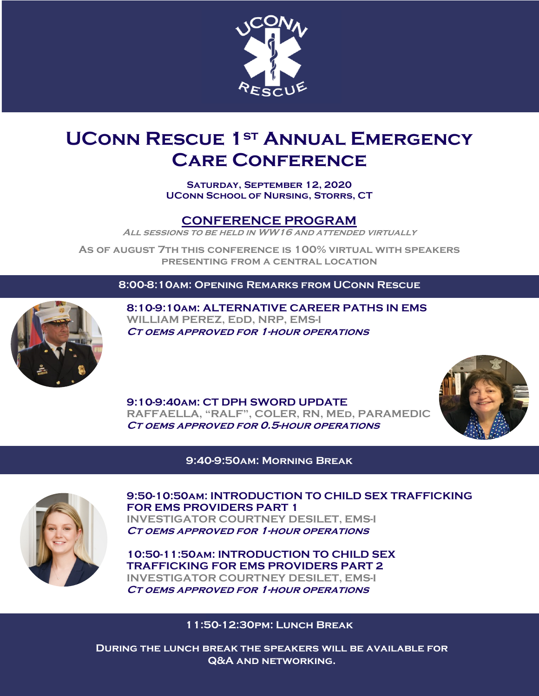

# **UConn Rescue 1st Annual Emergency Care Conference**

**Saturday, September 12, 2020 UConn School of Nursing, Storrs, CT**

### **CONFERENCE PROGRAM**

**All sessions to be held in WW16 and attended virtually**

**As of august 7th this conference is 100% virtual with speakers presenting from a central location**

**8:00-8:10am: Opening Remarks from UConn Rescue**



**8:10-9:10am: ALTERNATIVE CAREER PATHS IN EMS WILLIAM PEREZ, EdD, NRP, EMS-I Ct oems approved for 1-hour operations**

**9:10-9:40am: CT DPH SWORD UPDATE RAFFAELLA, "RALF", COLER, RN, MEd, PARAMEDIC Ct oems approved for 0.5-hour operations**



**9:40-9:50am: Morning Break**



**9:50-10:50am: INTRODUCTION TO CHILD SEX TRAFFICKING FOR EMS PROVIDERS PART 1 INVESTIGATOR COURTNEY DESILET, EMS-I Ct oems approved for 1-hour operations**

**10:50-11:50am: INTRODUCTION TO CHILD SEX TRAFFICKING FOR EMS PROVIDERS PART 2 INVESTIGATOR COURTNEY DESILET, EMS-I Ct oems approved for 1-hour operations**

#### **11:50-12:30pm: Lunch Break**

**During the lunch break the speakers will be available for Q&A and networking.**